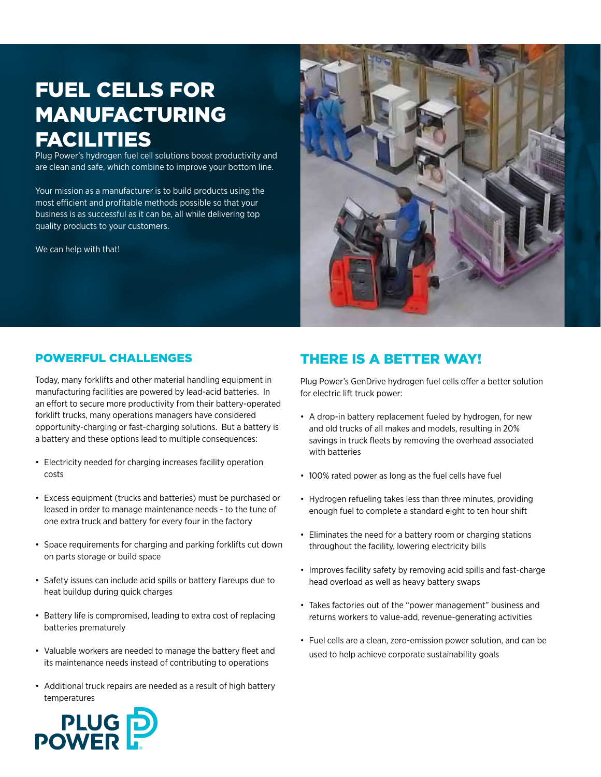## fuel cells for manufacturing **FACILITIES**

Plug Power's hydrogen fuel cell solutions boost productivity and are clean and safe, which combine to improve your bottom line.

Your mission as a manufacturer is to build products using the most efficient and profitable methods possible so that your business is as successful as it can be, all while delivering top quality products to your customers.

We can help with that!



#### powerful challenges

Today, many forklifts and other material handling equipment in manufacturing facilities are powered by lead-acid batteries. In an effort to secure more productivity from their battery-operated forklift trucks, many operations managers have considered opportunity-charging or fast-charging solutions. But a battery is a battery and these options lead to multiple consequences:

- Electricity needed for charging increases facility operation costs
- • Excess equipment (trucks and batteries) must be purchased or leased in order to manage maintenance needs - to the tune of one extra truck and battery for every four in the factory
- • Space requirements for charging and parking forklifts cut down on parts storage or build space
- Safety issues can include acid spills or battery flareups due to heat buildup during quick charges
- Battery life is compromised, leading to extra cost of replacing batteries prematurely
- Valuable workers are needed to manage the battery fleet and its maintenance needs instead of contributing to operations
- Additional truck repairs are needed as a result of high battery temperatures

### There is a better way!

Plug Power's GenDrive hydrogen fuel cells offer a better solution for electric lift truck power:

- A drop-in battery replacement fueled by hydrogen, for new and old trucks of all makes and models, resulting in 20% savings in truck fleets by removing the overhead associated with batteries
- 100% rated power as long as the fuel cells have fuel
- Hydrogen refueling takes less than three minutes, providing enough fuel to complete a standard eight to ten hour shift
- • Eliminates the need for a battery room or charging stations throughout the facility, lowering electricity bills
- Improves facility safety by removing acid spills and fast-charge head overload as well as heavy battery swaps
- Takes factories out of the "power management" business and returns workers to value-add, revenue-generating activities
- Fuel cells are a clean, zero-emission power solution, and can be used to help achieve corporate sustainability goals